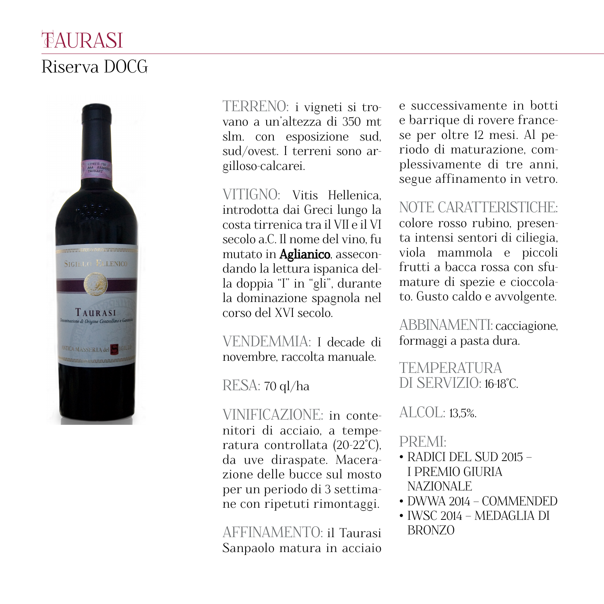## **TAURASI** Riserva DOCG



TERRENO: i vigneti si trovano a un'altezza di 350 mt slm. con esposizione sud, sud/ovest. I terreni sono argilloso-calcarei.

VITIGNO: Vitis Hellenica, introdotta dai Greci lungo la costa tirrenica tra il VII e il VI secolo a.C. Il nome del vino, fu mutato in **Aglianico**, assecondando la lettura ispanica della doppia "I" in "gli", durante la dominazione spagnola nel corso del XVI secolo.

VENDEMMIA: I decade di novembre, raccolta manuale.

RESA: 70 ql/ha

VINIFICAZIONE: in contenitori di acciaio, a temperatura controllata (20-22°C), da uve diraspate. Macerazione delle bucce sul mosto per un periodo di 3 settimane con ripetuti rimontaggi.

AFFINAMENTO: il Taurasi Sanpaolo matura in acciaio e successivamente in botti e barrique di rovere francese per oltre 12 mesi. Al periodo di maturazione, complessivamente di tre anni, segue affinamento in vetro.

NOTE CARATTERISTICHE: colore rosso rubino, presenta intensi sentori di ciliegia, viola mammola e piccoli frutti a bacca rossa con sfumature di spezie e cioccola-

ABBINAMENTI: cacciagione, formaggi a pasta dura.

to. Gusto caldo e avvolgente.

**TEMPERATURA** DI SERVIZIO: 16-18°C.

## $ALOOI: 13,5%$

## PREMI:

- RADICI DEL SUD 2015 I PREMIO GIURIA NAZIONALE
- DWWA 2014 COMMENDED
- IWSC 2014 MEDAGLIA DI BRONZO